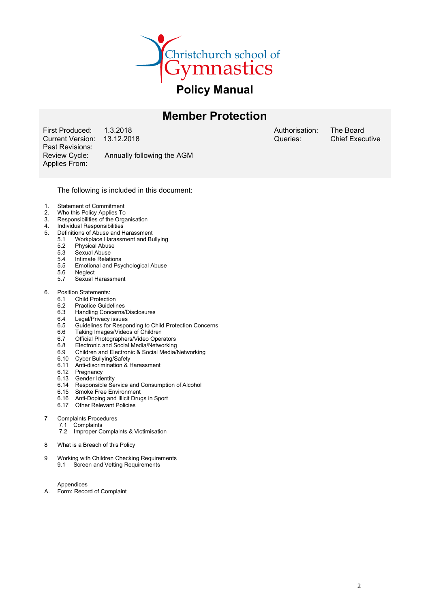

# Member Protection

First Produced: 1.3.2018<br>Current Version: 13.12.2018 Current Version: Past Revisions: Applies From:

Review Cycle: Annually following the AGM

Authorisation: Queries:

The Board Chief Executive

#### The following is included in this document:

- 1. Statement of Commitment<br>2. Who this Policy Applies To
- Who this Policy Applies To
- 3. Responsibilities of the Organisation
- 4. Individual Responsibilities<br>5. Definitions of Abuse and H
- Definitions of Abuse and Harassment<br>5.1 Workplace Harassment and Bu
	- 5.1 Workplace Harassment and Bullying
		- 5.2 Physical Abuse
		- 5.3 Sexual Abuse
		- 5.4 Intimate Relations<br>5.5 Emotional and Psy 5.5 Emotional and Psychological Abuse
		-
		- 5.6 Neglect<br>5.7 Sexual H Sexual Harassment
- 6. Position Statements:
	- 6.1 Child Protection<br>6.2 Practice Guideli
	- 6.2 Practice Guidelines<br>6.3 Handling Concerns
	- Handling Concerns/Disclosures
	- 6.4 Legal/Privacy issues
	- 6.5 Guidelines for Responding to Child Protection Concerns
	- 6.6 Taking Images/Videos of Children<br>6.7 Official Photographers/Video Oper
	- Official Photographers/Video Operators
	- 6.8 Electronic and Social Media/Networking
	- 6.9 Children and Electronic & Social Media/Networking
	- 6.10 Cyber Bullying/Safety
	- 6.11 Anti-discrimination & Harassment
	- 6.12 Pregnancy
	- 6.13 Gender Identity
	- 6.14 Responsible Service and Consumption of Alcohol
	- 6.15 Smoke Free Environment
	- 6.16 Anti-Doping and Illicit Drugs in Sport
	- 6.17 Other Relevant Policies

#### 7 Complaints Procedures

- 7.1 Complaints
- 7.2 Improper Complaints & Victimisation
- 8 What is a Breach of this Policy
- 9 Working with Children Checking Requirements 9.1 Screen and Vetting Requirements

Appendices A. Form: Record of Complaint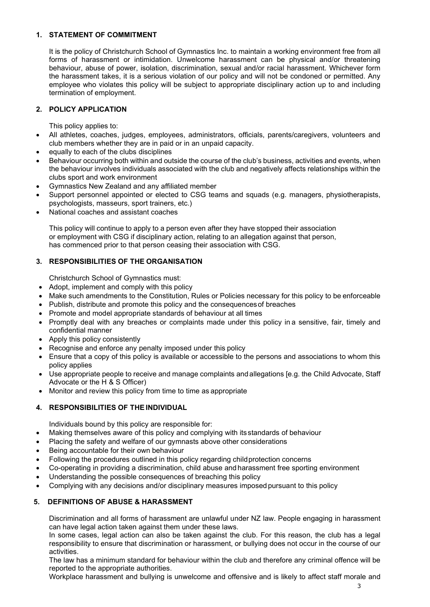# 1. STATEMENT OF COMMITMENT

It is the policy of Christchurch School of Gymnastics Inc. to maintain a working environment free from all forms of harassment or intimidation. Unwelcome harassment can be physical and/or threatening behaviour, abuse of power, isolation, discrimination, sexual and/or racial harassment. Whichever form the harassment takes, it is a serious violation of our policy and will not be condoned or permitted. Any employee who violates this policy will be subject to appropriate disciplinary action up to and including termination of employment.

# 2. POLICY APPLICATION

This policy applies to:

- All athletes, coaches, judges, employees, administrators, officials, parents/caregivers, volunteers and club members whether they are in paid or in an unpaid capacity.
- equally to each of the clubs disciplines
- Behaviour occurring both within and outside the course of the club's business, activities and events, when the behaviour involves individuals associated with the club and negatively affects relationships within the clubs sport and work environment
- Gymnastics New Zealand and any affiliated member
- Support personnel appointed or elected to CSG teams and squads (e.g. managers, physiotherapists, psychologists, masseurs, sport trainers, etc.)
- National coaches and assistant coaches

This policy will continue to apply to a person even after they have stopped their association or employment with CSG if disciplinary action, relating to an allegation against that person, has commenced prior to that person ceasing their association with CSG.

# 3. RESPONSIBILITIES OF THE ORGANISATION

Christchurch School of Gymnastics must:

- Adopt, implement and comply with this policy
- Make such amendments to the Constitution, Rules or Policies necessary for this policy to be enforceable
- Publish, distribute and promote this policy and the consequences of breaches
- Promote and model appropriate standards of behaviour at all times
- Promptly deal with any breaches or complaints made under this policy in a sensitive, fair, timely and confidential manner
- Apply this policy consistently
- Recognise and enforce any penalty imposed under this policy
- Ensure that a copy of this policy is available or accessible to the persons and associations to whom this policy applies
- Use appropriate people to receive and manage complaints and allegations [e.g. the Child Advocate, Staff Advocate or the H & S Officer)
- Monitor and review this policy from time to time as appropriate

# 4. RESPONSIBILITIES OF THE INDIVIDUAL

Individuals bound by this policy are responsible for:

- Making themselves aware of this policy and complying with its standards of behaviour
- Placing the safety and welfare of our gymnasts above other considerations
- Being accountable for their own behaviour
- Following the procedures outlined in this policy regarding child protection concerns
- Co-operating in providing a discrimination, child abuse and harassment free sporting environment
- Understanding the possible consequences of breaching this policy
- Complying with any decisions and/or disciplinary measures imposed pursuant to this policy

# 5. DEFINITIONS OF ABUSE & HARASSMENT

Discrimination and all forms of harassment are unlawful under NZ law. People engaging in harassment can have legal action taken against them under these laws.

In some cases, legal action can also be taken against the club. For this reason, the club has a legal responsibility to ensure that discrimination or harassment, or bullying does not occur in the course of our activities.

The law has a minimum standard for behaviour within the club and therefore any criminal offence will be reported to the appropriate authorities.

Workplace harassment and bullying is unwelcome and offensive and is likely to affect staff morale and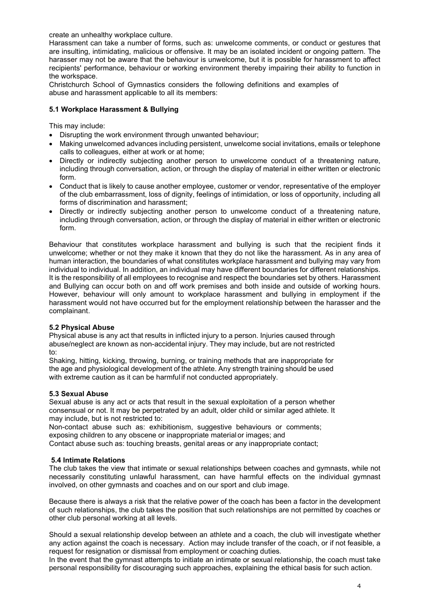create an unhealthy workplace culture.

Harassment can take a number of forms, such as: unwelcome comments, or conduct or gestures that are insulting, intimidating, malicious or offensive. It may be an isolated incident or ongoing pattern. The harasser may not be aware that the behaviour is unwelcome, but it is possible for harassment to affect recipients' performance, behaviour or working environment thereby impairing their ability to function in the workspace.

Christchurch School of Gymnastics considers the following definitions and examples of abuse and harassment applicable to all its members:

# 5.1 Workplace Harassment & Bullying

This may include:

- Disrupting the work environment through unwanted behaviour;
- Making unwelcomed advances including persistent, unwelcome social invitations, emails or telephone calls to colleagues, either at work or at home;
- Directly or indirectly subjecting another person to unwelcome conduct of a threatening nature, including through conversation, action, or through the display of material in either written or electronic form.
- Conduct that is likely to cause another employee, customer or vendor, representative of the employer of the club embarrassment, loss of dignity, feelings of intimidation, or loss of opportunity, including all forms of discrimination and harassment;
- Directly or indirectly subjecting another person to unwelcome conduct of a threatening nature, including through conversation, action, or through the display of material in either written or electronic form.

Behaviour that constitutes workplace harassment and bullying is such that the recipient finds it unwelcome; whether or not they make it known that they do not like the harassment. As in any area of human interaction, the boundaries of what constitutes workplace harassment and bullying may vary from individual to individual. In addition, an individual may have different boundaries for different relationships. It is the responsibility of all employees to recognise and respect the boundaries set by others. Harassment and Bullying can occur both on and off work premises and both inside and outside of working hours. However, behaviour will only amount to workplace harassment and bullying in employment if the harassment would not have occurred but for the employment relationship between the harasser and the complainant.

# 5.2 Physical Abuse

Physical abuse is any act that results in inflicted injury to a person. Injuries caused through abuse/neglect are known as non-accidental injury. They may include, but are not restricted to:

Shaking, hitting, kicking, throwing, burning, or training methods that are inappropriate for the age and physiological development of the athlete. Any strength training should be used with extreme caution as it can be harmful if not conducted appropriately.

#### 5.3 Sexual Abuse

Sexual abuse is any act or acts that result in the sexual exploitation of a person whether consensual or not. It may be perpetrated by an adult, older child or similar aged athlete. It may include, but is not restricted to:

Non-contact abuse such as: exhibitionism, suggestive behaviours or comments; exposing children to any obscene or inappropriate material or images; and

Contact abuse such as: touching breasts, genital areas or any inappropriate contact;

#### 5.4 Intimate Relations

The club takes the view that intimate or sexual relationships between coaches and gymnasts, while not necessarily constituting unlawful harassment, can have harmful effects on the individual gymnast involved, on other gymnasts and coaches and on our sport and club image.

Because there is always a risk that the relative power of the coach has been a factor in the development of such relationships, the club takes the position that such relationships are not permitted by coaches or other club personal working at all levels.

Should a sexual relationship develop between an athlete and a coach, the club will investigate whether any action against the coach is necessary. Action may include transfer of the coach, or if not feasible, a request for resignation or dismissal from employment or coaching duties.

In the event that the gymnast attempts to initiate an intimate or sexual relationship, the coach must take personal responsibility for discouraging such approaches, explaining the ethical basis for such action.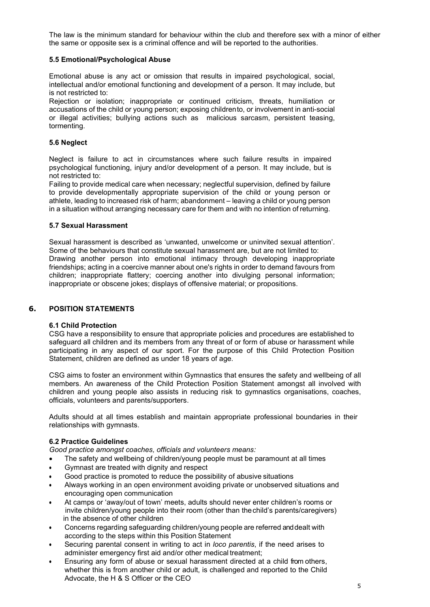The law is the minimum standard for behaviour within the club and therefore sex with a minor of either the same or opposite sex is a criminal offence and will be reported to the authorities.

# 5.5 Emotional/Psychological Abuse

Emotional abuse is any act or omission that results in impaired psychological, social, intellectual and/or emotional functioning and development of a person. It may include, but is not restricted to:

Rejection or isolation; inappropriate or continued criticism, threats, humiliation or accusations of the child or young person; exposing childrento, or involvement in anti-social or illegal activities; bullying actions such as malicious sarcasm, persistent teasing, tormenting.

### 5.6 Neglect

Neglect is failure to act in circumstances where such failure results in impaired psychological functioning, injury and/or development of a person. It may include, but is not restricted to:

Failing to provide medical care when necessary; neglectful supervision, defined by failure to provide developmentally appropriate supervision of the child or young person or athlete, leading to increased risk of harm; abandonment – leaving a child or young person in a situation without arranging necessary care for them and with no intention of returning.

# 5.7 Sexual Harassment

Sexual harassment is described as 'unwanted, unwelcome or uninvited sexual attention'. Some of the behaviours that constitute sexual harassment are, but are not limited to: Drawing another person into emotional intimacy through developing inappropriate friendships; acting in a coercive manner about one's rights in order to demand favours from children; inappropriate flattery; coercing another into divulging personal information; inappropriate or obscene jokes; displays of offensive material; or propositions.

# 6. POSITION STATEMENTS

#### 6.1 Child Protection

CSG have a responsibility to ensure that appropriate policies and procedures are established to safeguard all children and its members from any threat of or form of abuse or harassment while participating in any aspect of our sport. For the purpose of this Child Protection Position Statement, children are defined as under 18 years of age.

CSG aims to foster an environment within Gymnastics that ensures the safety and wellbeing of all members. An awareness of the Child Protection Position Statement amongst all involved with children and young people also assists in reducing risk to gymnastics organisations, coaches, officials, volunteers and parents/supporters.

Adults should at all times establish and maintain appropriate professional boundaries in their relationships with gymnasts.

#### 6.2 Practice Guidelines

Good practice amongst coaches, officials and volunteers means:

- The safety and wellbeing of children/young people must be paramount at all times
- Gymnast are treated with dignity and respect
- Good practice is promoted to reduce the possibility of abusive situations
- Always working in an open environment avoiding private or unobserved situations and encouraging open communication
- At camps or 'away/out of town' meets, adults should never enter children's rooms or invite children/young people into their room (other than the child's parents/caregivers) in the absence of other children
- Concerns regarding safeguarding children/young people are referred and dealt with according to the steps within this Position Statement
- Securing parental consent in writing to act in *loco parentis*, if the need arises to administer emergency first aid and/or other medical treatment;
- Ensuring any form of abuse or sexual harassment directed at a child from others, whether this is from another child or adult, is challenged and reported to the Child Advocate, the H & S Officer or the CEO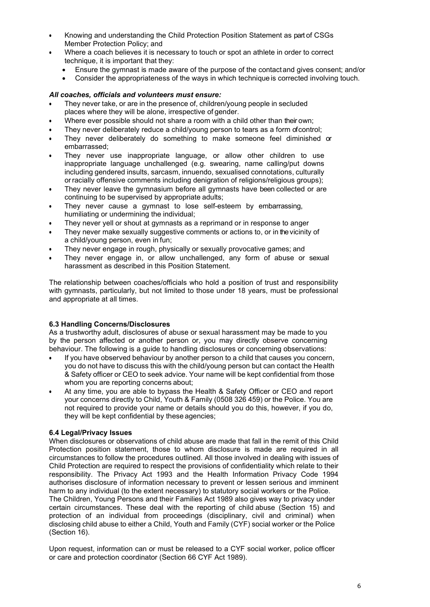- Knowing and understanding the Child Protection Position Statement as part of CSGs Member Protection Policy; and
- Where a coach believes it is necessary to touch or spot an athlete in order to correct technique, it is important that they:
	- Ensure the gymnast is made aware of the purpose of the contact and gives consent; and/or
	- Consider the appropriateness of the ways in which technique is corrected involving touch.

### All coaches, officials and volunteers must ensure:

- They never take, or are in the presence of, children/young people in secluded places where they will be alone, irrespective of gender.
- Where ever possible should not share a room with a child other than their own;
- They never deliberately reduce a child/young person to tears as a form of control;
- They never deliberately do something to make someone feel diminished or embarrassed;
- They never use inappropriate language, or allow other children to use inappropriate language unchallenged (e.g. swearing, name calling/put downs including gendered insults, sarcasm, innuendo, sexualised connotations, culturally or racially offensive comments including denigration of religions/religious groups);
- They never leave the gymnasium before all gymnasts have been collected or are continuing to be supervised by appropriate adults;
- They never cause a gymnast to lose self-esteem by embarrassing, humiliating or undermining the individual;
- They never yell or shout at gymnasts as a reprimand or in response to anger
- They never make sexually suggestive comments or actions to, or in the vicinity of a child/young person, even in fun;
- They never engage in rough, physically or sexually provocative games; and
- They never engage in, or allow unchallenged, any form of abuse or sexual harassment as described in this Position Statement.

The relationship between coaches/officials who hold a position of trust and responsibility with gymnasts, particularly, but not limited to those under 18 years, must be professional and appropriate at all times.

#### 6.3 Handling Concerns/Disclosures

As a trustworthy adult, disclosures of abuse or sexual harassment may be made to you by the person affected or another person or, you may directly observe concerning behaviour. The following is a guide to handling disclosures or concerning observations:

- If you have observed behaviour by another person to a child that causes you concern, you do not have to discuss this with the child/young person but can contact the Health & Safety officer or CEO to seek advice. Your name will be kept confidential from those whom you are reporting concerns about;
- At any time, you are able to bypass the Health & Safety Officer or CEO and report your concerns directly to Child, Youth & Family (0508 326 459) or the Police. You are not required to provide your name or details should you do this, however, if you do, they will be kept confidential by these agencies;

#### 6.4 Legal/Privacy Issues

When disclosures or observations of child abuse are made that fall in the remit of this Child Protection position statement, those to whom disclosure is made are required in all circumstances to follow the procedures outlined. All those involved in dealing with issues of Child Protection are required to respect the provisions of confidentiality which relate to their responsibility. The Privacy Act 1993 and the Health Information Privacy Code 1994 authorises disclosure of information necessary to prevent or lessen serious and imminent harm to any individual (to the extent necessary) to statutory social workers or the Police.

The Children, Young Persons and their Families Act 1989 also gives way to privacy under certain circumstances. These deal with the reporting of child abuse (Section 15) and protection of an individual from proceedings (disciplinary, civil and criminal) when disclosing child abuse to either a Child, Youth and Family (CYF) social worker or the Police (Section 16).

Upon request, information can or must be released to a CYF social worker, police officer or care and protection coordinator (Section 66 CYF Act 1989).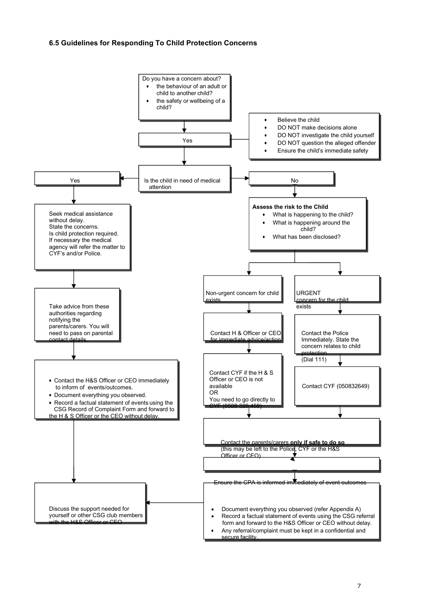# 6.5 Guidelines for Responding To Child Protection Concerns

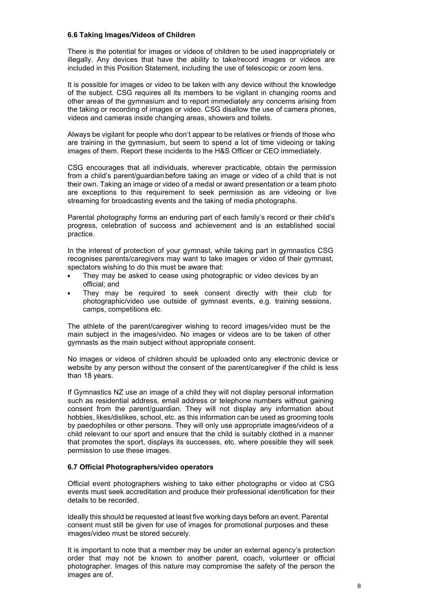### 6.6 Taking Images/Videos of Children

There is the potential for images or videos of children to be used inappropriately or illegally. Any devices that have the ability to take/record images or videos are included in this Position Statement, including the use of telescopic or zoom lens.

It is possible for images or video to be taken with any device without the knowledge of the subject. CSG requires all its members to be vigilant in changing rooms and other areas of the gymnasium and to report immediately any concerns arising from the taking or recording of images or video. CSG disallow the use of camera phones, videos and cameras inside changing areas, showers and toilets.

Always be vigilant for people who don't appear to be relatives or friends of those who are training in the gymnasium, but seem to spend a lot of time videoing or taking images of them. Report these incidents to the H&S Officer or CEO immediately.

CSG encourages that all individuals, wherever practicable, obtain the permission from a child's parent/guardian before taking an image or video of a child that is not their own. Taking an image or video of a medal or award presentation or a team photo are exceptions to this requirement to seek permission as are videoing or live streaming for broadcasting events and the taking of media photographs.

Parental photography forms an enduring part of each family's record or their child's progress, celebration of success and achievement and is an established social practice.

In the interest of protection of your gymnast, while taking part in gymnastics CSG recognises parents/caregivers may want to take images or video of their gymnast, spectators wishing to do this must be aware that:

- They may be asked to cease using photographic or video devices by an official; and
- They may be required to seek consent directly with their club for photographic/video use outside of gymnast events, e.g. training sessions, camps, competitions etc.

The athlete of the parent/caregiver wishing to record images/video must be the main subject in the images/video. No images or videos are to be taken of other gymnasts as the main subject without appropriate consent.

No images or videos of children should be uploaded onto any electronic device or website by any person without the consent of the parent/caregiver if the child is less than 18 years.

If Gymnastics NZ use an image of a child they will not display personal information such as residential address, email address or telephone numbers without gaining consent from the parent/guardian. They will not display any information about hobbies, likes/dislikes, school, etc. as this information can be used as grooming tools by paedophiles or other persons. They will only use appropriate images/videos of a child relevant to our sport and ensure that the child is suitably clothed in a manner that promotes the sport, displays its successes, etc. where possible they will seek permission to use these images.

#### 6.7 Official Photographers/video operators

Official event photographers wishing to take either photographs or video at CSG events must seek accreditation and produce their professional identification for their details to be recorded.

Ideally this should be requested at least five working days before an event. Parental consent must still be given for use of images for promotional purposes and these images/video must be stored securely.

It is important to note that a member may be under an external agency's protection order that may not be known to another parent, coach, volunteer or official photographer. Images of this nature may compromise the safety of the person the images are of.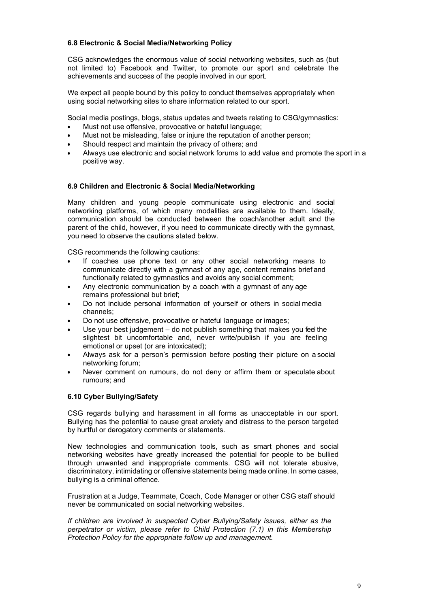# 6.8 Electronic & Social Media/Networking Policy

CSG acknowledges the enormous value of social networking websites, such as (but not limited to) Facebook and Twitter, to promote our sport and celebrate the achievements and success of the people involved in our sport.

We expect all people bound by this policy to conduct themselves appropriately when using social networking sites to share information related to our sport.

Social media postings, blogs, status updates and tweets relating to CSG/gymnastics:

- Must not use offensive, provocative or hateful language;
- Must not be misleading, false or injure the reputation of another person;
- Should respect and maintain the privacy of others; and
- Always use electronic and social network forums to add value and promote the sport in a positive way.

### 6.9 Children and Electronic & Social Media/Networking

Many children and young people communicate using electronic and social networking platforms, of which many modalities are available to them. Ideally, communication should be conducted between the coach/another adult and the parent of the child, however, if you need to communicate directly with the gymnast, you need to observe the cautions stated below.

CSG recommends the following cautions:

- If coaches use phone text or any other social networking means to communicate directly with a gymnast of any age, content remains brief and functionally related to gymnastics and avoids any social comment;
- Any electronic communication by a coach with a gymnast of any age remains professional but brief;
- Do not include personal information of yourself or others in social media channels;
- Do not use offensive, provocative or hateful language or images;
- Use your best judgement do not publish something that makes you feel the slightest bit uncomfortable and, never write/publish if you are feeling emotional or upset (or are intoxicated);
- Always ask for a person's permission before posting their picture on a social networking forum;
- Never comment on rumours, do not deny or affirm them or speculate about rumours; and

# 6.10 Cyber Bullying/Safety

CSG regards bullying and harassment in all forms as unacceptable in our sport. Bullying has the potential to cause great anxiety and distress to the person targeted by hurtful or derogatory comments or statements.

New technologies and communication tools, such as smart phones and social networking websites have greatly increased the potential for people to be bullied through unwanted and inappropriate comments. CSG will not tolerate abusive, discriminatory, intimidating or offensive statements being made online. In some cases, bullying is a criminal offence.

Frustration at a Judge, Teammate, Coach, Code Manager or other CSG staff should never be communicated on social networking websites.

If children are involved in suspected Cyber Bullying/Safety issues, either as the perpetrator or victim, please refer to Child Protection (7.1) in this Membership Protection Policy for the appropriate follow up and management.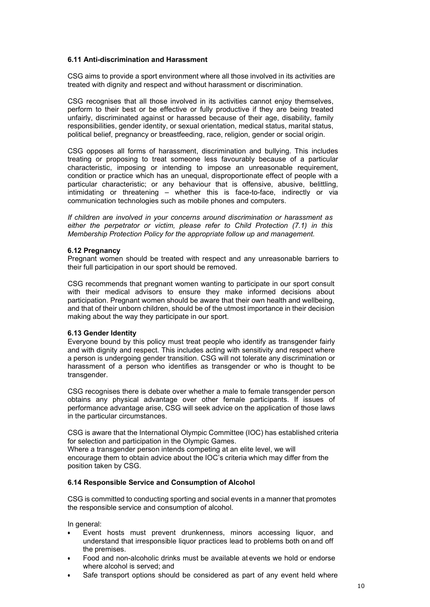## 6.11 Anti-discrimination and Harassment

CSG aims to provide a sport environment where all those involved in its activities are treated with dignity and respect and without harassment or discrimination.

CSG recognises that all those involved in its activities cannot enjoy themselves. perform to their best or be effective or fully productive if they are being treated unfairly, discriminated against or harassed because of their age, disability, family responsibilities, gender identity, or sexual orientation, medical status, marital status, political belief, pregnancy or breastfeeding, race, religion, gender or social origin.

CSG opposes all forms of harassment, discrimination and bullying. This includes treating or proposing to treat someone less favourably because of a particular characteristic, imposing or intending to impose an unreasonable requirement, condition or practice which has an unequal, disproportionate effect of people with a particular characteristic; or any behaviour that is offensive, abusive, belittling, intimidating or threatening – whether this is face-to-face, indirectly or via communication technologies such as mobile phones and computers.

If children are involved in your concerns around discrimination or harassment as either the perpetrator or victim, please refer to Child Protection (7.1) in this Membership Protection Policy for the appropriate follow up and management.

#### 6.12 Pregnancy

Pregnant women should be treated with respect and any unreasonable barriers to their full participation in our sport should be removed.

CSG recommends that pregnant women wanting to participate in our sport consult with their medical advisors to ensure they make informed decisions about participation. Pregnant women should be aware that their own health and wellbeing, and that of their unborn children, should be of the utmost importance in their decision making about the way they participate in our sport.

#### 6.13 Gender Identity

Everyone bound by this policy must treat people who identify as transgender fairly and with dignity and respect. This includes acting with sensitivity and respect where a person is undergoing gender transition. CSG will not tolerate any discrimination or harassment of a person who identifies as transgender or who is thought to be transgender.

CSG recognises there is debate over whether a male to female transgender person obtains any physical advantage over other female participants. If issues of performance advantage arise, CSG will seek advice on the application of those laws in the particular circumstances.

CSG is aware that the International Olympic Committee (IOC) has established criteria for selection and participation in the Olympic Games.

Where a transgender person intends competing at an elite level, we will encourage them to obtain advice about the IOC's criteria which may differ from the position taken by CSG.

# 6.14 Responsible Service and Consumption of Alcohol

CSG is committed to conducting sporting and social events in a manner that promotes the responsible service and consumption of alcohol.

In general:

- Event hosts must prevent drunkenness, minors accessing liquor, and understand that irresponsible liquor practices lead to problems both on and off the premises.
- Food and non-alcoholic drinks must be available at events we hold or endorse where alcohol is served; and
- Safe transport options should be considered as part of any event held where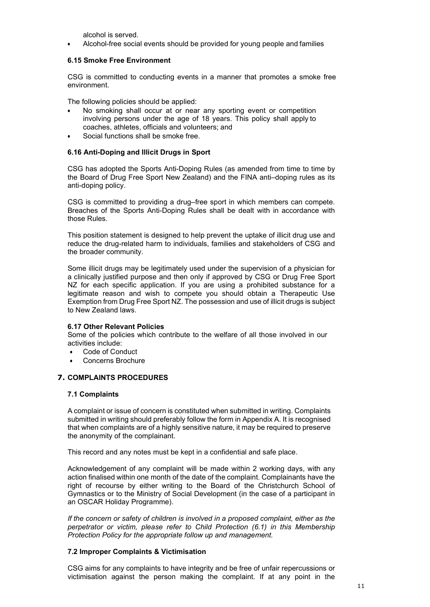alcohol is served.

Alcohol-free social events should be provided for young people and families

# 6.15 Smoke Free Environment

CSG is committed to conducting events in a manner that promotes a smoke free environment.

The following policies should be applied:

- No smoking shall occur at or near any sporting event or competition involving persons under the age of 18 years. This policy shall apply to coaches, athletes, officials and volunteers; and
- Social functions shall be smoke free.

# 6.16 Anti-Doping and Illicit Drugs in Sport

CSG has adopted the Sports Anti-Doping Rules (as amended from time to time by the Board of Drug Free Sport New Zealand) and the FINA anti–doping rules as its anti-doping policy.

CSG is committed to providing a drug–free sport in which members can compete. Breaches of the Sports Anti-Doping Rules shall be dealt with in accordance with those Rules.

This position statement is designed to help prevent the uptake of illicit drug use and reduce the drug-related harm to individuals, families and stakeholders of CSG and the broader community.

Some illicit drugs may be legitimately used under the supervision of a physician for a clinically justified purpose and then only if approved by CSG or Drug Free Sport NZ for each specific application. If you are using a prohibited substance for a legitimate reason and wish to compete you should obtain a Therapeutic Use Exemption from Drug Free Sport NZ. The possession and use of illicit drugs is subject to New Zealand laws.

# 6.17 Other Relevant Policies

Some of the policies which contribute to the welfare of all those involved in our activities include:

- Code of Conduct
- Concerns Brochure

# 7. COMPLAINTS PROCEDURES

# 7.1 Complaints

A complaint or issue of concern is constituted when submitted in writing. Complaints submitted in writing should preferably follow the form in Appendix A. It is recognised that when complaints are of a highly sensitive nature, it may be required to preserve the anonymity of the complainant.

This record and any notes must be kept in a confidential and safe place.

Acknowledgement of any complaint will be made within 2 working days, with any action finalised within one month of the date of the complaint. Complainants have the right of recourse by either writing to the Board of the Christchurch School of Gymnastics or to the Ministry of Social Development (in the case of a participant in an OSCAR Holiday Programme).

If the concern or safety of children is involved in a proposed complaint, either as the perpetrator or victim, please refer to Child Protection (6.1) in this Membership Protection Policy for the appropriate follow up and management.

# 7.2 Improper Complaints & Victimisation

CSG aims for any complaints to have integrity and be free of unfair repercussions or victimisation against the person making the complaint. If at any point in the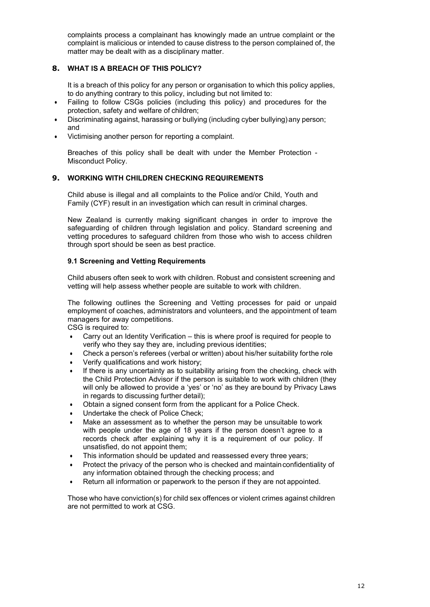complaints process a complainant has knowingly made an untrue complaint or the complaint is malicious or intended to cause distress to the person complained of, the matter may be dealt with as a disciplinary matter.

# 8. WHAT IS A BREACH OF THIS POLICY?

It is a breach of this policy for any person or organisation to which this policy applies, to do anything contrary to this policy, including but not limited to:

- Failing to follow CSGs policies (including this policy) and procedures for the protection, safety and welfare of children;
- Discriminating against, harassing or bullying (including cyber bullying) any person; and
- Victimising another person for reporting a complaint.

Breaches of this policy shall be dealt with under the Member Protection - Misconduct Policy.

# 9. WORKING WITH CHILDREN CHECKING REQUIREMENTS

Child abuse is illegal and all complaints to the Police and/or Child, Youth and Family (CYF) result in an investigation which can result in criminal charges.

New Zealand is currently making significant changes in order to improve the safeguarding of children through legislation and policy. Standard screening and vetting procedures to safeguard children from those who wish to access children through sport should be seen as best practice.

### 9.1 Screening and Vetting Requirements

Child abusers often seek to work with children. Robust and consistent screening and vetting will help assess whether people are suitable to work with children.

The following outlines the Screening and Vetting processes for paid or unpaid employment of coaches, administrators and volunteers, and the appointment of team managers for away competitions.

CSG is required to:

- Carry out an Identity Verification this is where proof is required for people to verify who they say they are, including previous identities;
- Check a person's referees (verbal or written) about his/her suitability for the role
- Verify qualifications and work history;
- If there is any uncertainty as to suitability arising from the checking, check with the Child Protection Advisor if the person is suitable to work with children (they will only be allowed to provide a 'yes' or 'no' as they are bound by Privacy Laws in regards to discussing further detail);
- Obtain a signed consent form from the applicant for a Police Check.
- Undertake the check of Police Check;
- Make an assessment as to whether the person may be unsuitable to work with people under the age of 18 years if the person doesn't agree to a records check after explaining why it is a requirement of our policy. If unsatisfied, do not appoint them;
- This information should be updated and reassessed every three years;
- Protect the privacy of the person who is checked and maintain confidentiality of any information obtained through the checking process; and
- Return all information or paperwork to the person if they are not appointed.

Those who have conviction(s) for child sex offences or violent crimes against children are not permitted to work at CSG.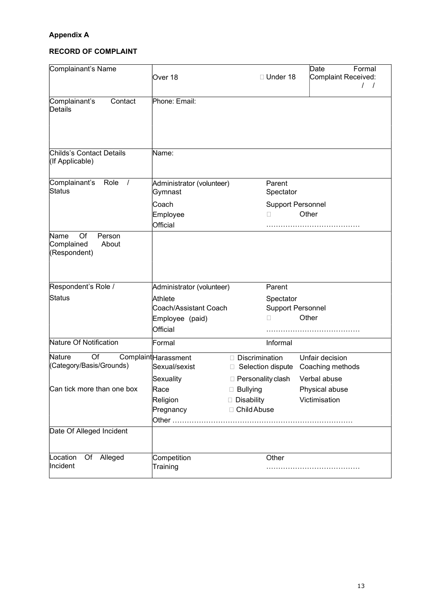# Appendix A

# RECORD OF COMPLAINT

| Complainant's Name                                          |                                       |                                       | Date<br>Formal                      |
|-------------------------------------------------------------|---------------------------------------|---------------------------------------|-------------------------------------|
|                                                             | Over 18                               | □ Under 18                            | Complaint Received:                 |
|                                                             |                                       |                                       |                                     |
| Complainant's<br>Contact<br>Details                         | Phone: Email:                         |                                       |                                     |
|                                                             |                                       |                                       |                                     |
|                                                             |                                       |                                       |                                     |
|                                                             |                                       |                                       |                                     |
| Childs's Contact Details<br>(If Applicable)                 | Name:                                 |                                       |                                     |
| Complainant's<br>Role<br>$\sqrt{ }$                         | Administrator (volunteer)             | Parent                                |                                     |
| Status                                                      | Gymnast                               | Spectator                             |                                     |
|                                                             | Coach                                 | <b>Support Personnel</b>              |                                     |
|                                                             | Employee                              | П                                     | Other                               |
|                                                             | Official                              |                                       |                                     |
| Name<br>Of<br>Person<br>Complained<br>About<br>(Respondent) |                                       |                                       |                                     |
|                                                             |                                       |                                       |                                     |
| Respondent's Role /                                         | Administrator (volunteer)             | Parent                                |                                     |
| Status                                                      | Athlete                               | Spectator                             |                                     |
|                                                             | Coach/Assistant Coach                 | <b>Support Personnel</b><br>П         | Other                               |
|                                                             | Employee (paid)<br>Official           |                                       |                                     |
| Nature Of Notification                                      | Formal                                | Informal                              |                                     |
|                                                             |                                       |                                       |                                     |
| Nature<br>Of<br>(Category/Basis/Grounds)                    | Complaint Harassment<br>Sexual/sexist | Discrimination<br>□ Selection dispute | Unfair decision<br>Coaching methods |
|                                                             | Sexuality                             | $\Box$ Personality clash              | Verbal abuse                        |
| Can tick more than one box                                  | Race                                  | □ Bullying                            | Physical abuse                      |
|                                                             | Religion                              | Disability                            | Victimisation                       |
|                                                             | Pregnancy                             | □ Child Abuse                         |                                     |
|                                                             |                                       |                                       |                                     |
| Date Of Alleged Incident                                    |                                       |                                       |                                     |
| Of Alleged<br>Location                                      | Competition                           | Other                                 |                                     |
| Incident                                                    | Training                              |                                       |                                     |